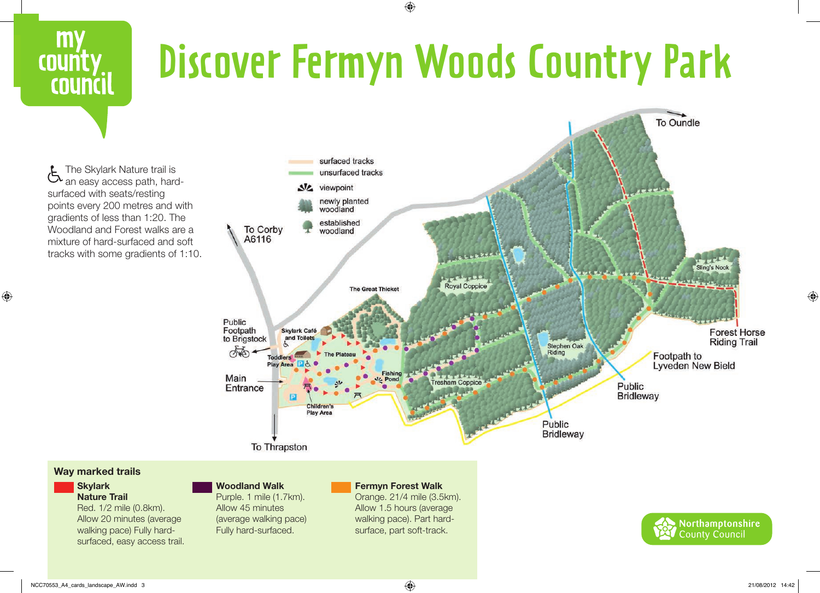

 $\bigoplus$